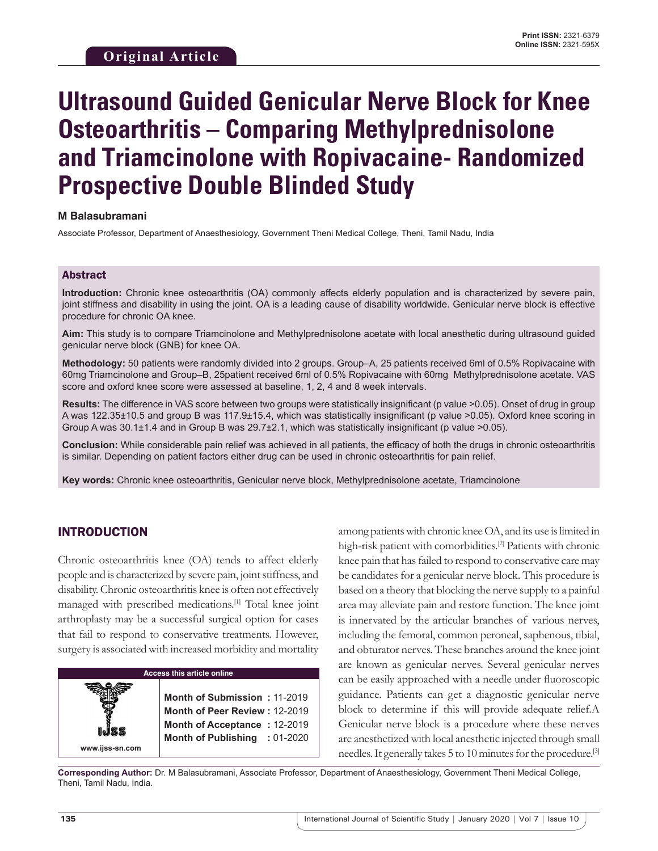# **Ultrasound Guided Genicular Nerve Block for Knee Osteoarthritis – Comparing Methylprednisolone and Triamcinolone with Ropivacaine- Randomized Prospective Double Blinded Study**

#### **M Balasubramani**

Associate Professor, Department of Anaesthesiology, Government Theni Medical College, Theni, Tamil Nadu, India

#### Abstract

**Introduction:** Chronic knee osteoarthritis (OA) commonly affects elderly population and is characterized by severe pain, joint stiffness and disability in using the joint. OA is a leading cause of disability worldwide. Genicular nerve block is effective procedure for chronic OA knee.

**Aim:** This study is to compare Triamcinolone and Methylprednisolone acetate with local anesthetic during ultrasound guided genicular nerve block (GNB) for knee OA.

**Methodology:** 50 patients were randomly divided into 2 groups. Group–A, 25 patients received 6ml of 0.5% Ropivacaine with 60mg Triamcinolone and Group–B, 25patient received 6ml of 0.5% Ropivacaine with 60mg Methylprednisolone acetate. VAS score and oxford knee score were assessed at baseline, 1, 2, 4 and 8 week intervals.

**Results:** The difference in VAS score between two groups were statistically insignificant (p value >0.05). Onset of drug in group A was 122.35±10.5 and group B was 117.9±15.4, which was statistically insignificant (p value >0.05). Oxford knee scoring in Group A was 30.1±1.4 and in Group B was 29.7±2.1, which was statistically insignificant (p value >0.05).

**Conclusion:** While considerable pain relief was achieved in all patients, the efficacy of both the drugs in chronic osteoarthritis is similar. Depending on patient factors either drug can be used in chronic osteoarthritis for pain relief.

**Key words:** Chronic knee osteoarthritis, Genicular nerve block, Methylprednisolone acetate, Triamcinolone

# INTRODUCTION

**www.ijss-sn.com**

Chronic osteoarthritis knee (OA) tends to affect elderly people and is characterized by severe pain, joint stiffness, and disability. Chronic osteoarthritis knee is often not effectively managed with prescribed medications.[1] Total knee joint arthroplasty may be a successful surgical option for cases that fail to respond to conservative treatments. However, surgery is associated with increased morbidity and mortality

#### **Access this article online**

**Month of Submission :** 11-2019 **Month of Peer Review :** 12-2019 **Month of Acceptance :** 12-2019 **Month of Publishing :** 01-2020 among patients with chronic knee OA, and its use is limited in high-risk patient with comorbidities.[2] Patients with chronic knee pain that has failed to respond to conservative care may be candidates for a genicular nerve block. This procedure is based on a theory that blocking the nerve supply to a painful area may alleviate pain and restore function. The knee joint is innervated by the articular branches of various nerves, including the femoral, common peroneal, saphenous, tibial, and obturator nerves. These branches around the knee joint are known as genicular nerves. Several genicular nerves can be easily approached with a needle under fluoroscopic guidance. Patients can get a diagnostic genicular nerve block to determine if this will provide adequate relief.A Genicular nerve block is a procedure where these nerves are anesthetized with local anesthetic injected through small needles. It generally takes 5 to 10 minutes for the procedure.[3]

**Corresponding Author:** Dr. M Balasubramani, Associate Professor, Department of Anaesthesiology, Government Theni Medical College, Theni, Tamil Nadu, India.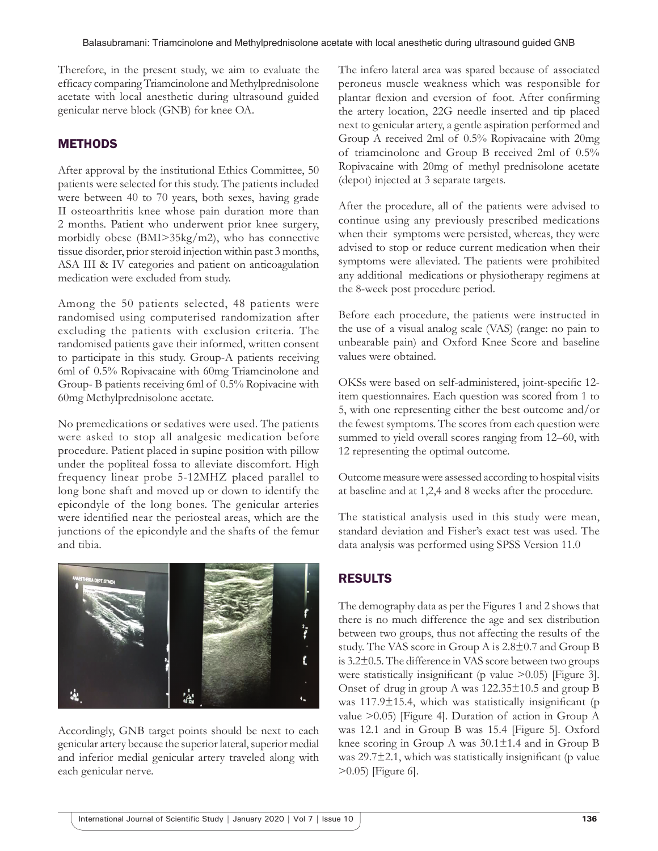Therefore, in the present study, we aim to evaluate the efficacy comparing Triamcinolone and Methylprednisolone acetate with local anesthetic during ultrasound guided genicular nerve block (GNB) for knee OA.

### **METHODS**

After approval by the institutional Ethics Committee, 50 patients were selected for this study. The patients included were between 40 to 70 years, both sexes, having grade II osteoarthritis knee whose pain duration more than 2 months. Patient who underwent prior knee surgery, morbidly obese (BMI>35kg/m2), who has connective tissue disorder, prior steroid injection within past 3 months, ASA III & IV categories and patient on anticoagulation medication were excluded from study.

Among the 50 patients selected, 48 patients were randomised using computerised randomization after excluding the patients with exclusion criteria. The randomised patients gave their informed, written consent to participate in this study. Group-A patients receiving 6ml of 0.5% Ropivacaine with 60mg Triamcinolone and Group- B patients receiving 6ml of 0.5% Ropivacine with 60mg Methylprednisolone acetate.

No premedications or sedatives were used. The patients were asked to stop all analgesic medication before procedure. Patient placed in supine position with pillow under the popliteal fossa to alleviate discomfort. High frequency linear probe 5-12MHZ placed parallel to long bone shaft and moved up or down to identify the epicondyle of the long bones. The genicular arteries were identified near the periosteal areas, which are the junctions of the epicondyle and the shafts of the femur and tibia.



Accordingly, GNB target points should be next to each genicular artery because the superior lateral, superior medial and inferior medial genicular artery traveled along with each genicular nerve.

The infero lateral area was spared because of associated peroneus muscle weakness which was responsible for plantar flexion and eversion of foot. After confirming the artery location, 22G needle inserted and tip placed next to genicular artery, a gentle aspiration performed and Group A received 2ml of 0.5% Ropivacaine with 20mg of triamcinolone and Group B received 2ml of 0.5% Ropivacaine with 20mg of methyl prednisolone acetate (depot) injected at 3 separate targets.

After the procedure, all of the patients were advised to continue using any previously prescribed medications when their symptoms were persisted, whereas, they were advised to stop or reduce current medication when their symptoms were alleviated. The patients were prohibited any additional medications or physiotherapy regimens at the 8-week post procedure period.

Before each procedure, the patients were instructed in the use of a visual analog scale (VAS) (range: no pain to unbearable pain) and Oxford Knee Score and baseline values were obtained.

OKSs were based on self-administered, joint-specific 12 item questionnaires. Each question was scored from 1 to 5, with one representing either the best outcome and/or the fewest symptoms. The scores from each question were summed to yield overall scores ranging from 12–60, with 12 representing the optimal outcome.

Outcome measure were assessed according to hospital visits at baseline and at 1,2,4 and 8 weeks after the procedure.

The statistical analysis used in this study were mean, standard deviation and Fisher's exact test was used. The data analysis was performed using SPSS Version 11.0

# RESULTS

The demography data as per the Figures 1 and 2 shows that there is no much difference the age and sex distribution between two groups, thus not affecting the results of the study. The VAS score in Group A is 2.8±0.7 and Group B is 3.2±0.5. The difference in VAS score between two groups were statistically insignificant (p value  $>0.05$ ) [Figure 3]. Onset of drug in group A was 122.35±10.5 and group B was 117.9±15.4, which was statistically insignificant (p value >0.05) [Figure 4]. Duration of action in Group A was 12.1 and in Group B was 15.4 [Figure 5]. Oxford knee scoring in Group A was 30.1±1.4 and in Group B was  $29.7\pm2.1$ , which was statistically insignificant (p value) >0.05) [Figure 6].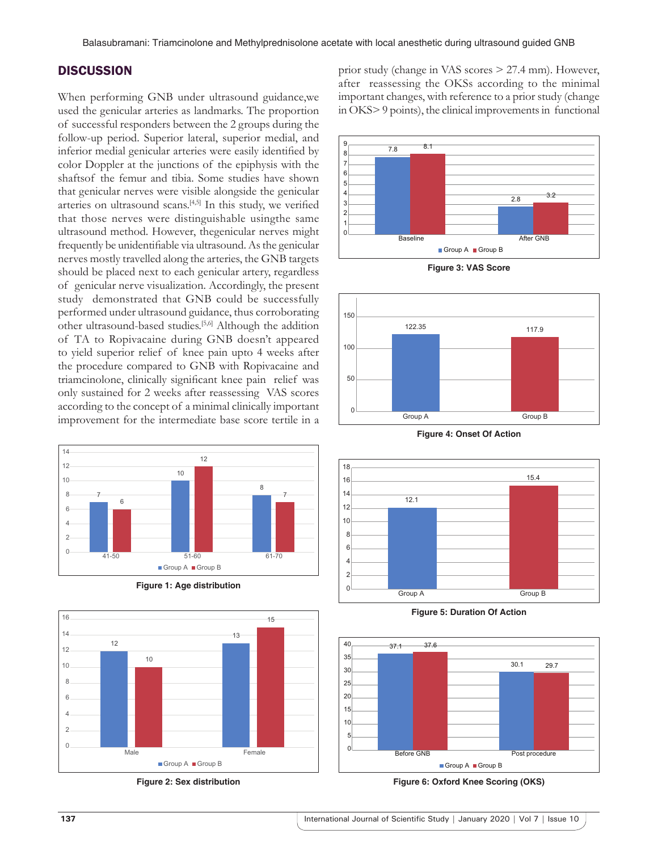#### **DISCUSSION**

When performing GNB under ultrasound guidance,we used the genicular arteries as landmarks. The proportion of successful responders between the 2 groups during the follow-up period. Superior lateral, superior medial, and inferior medial genicular arteries were easily identified by color Doppler at the junctions of the epiphysis with the shaftsof the femur and tibia. Some studies have shown that genicular nerves were visible alongside the genicular arteries on ultrasound scans.[4,5] In this study, we verified that those nerves were distinguishable usingthe same ultrasound method. However, thegenicular nerves might frequently be unidentifiable via ultrasound. As the genicular nerves mostly travelled along the arteries, the GNB targets should be placed next to each genicular artery, regardless of genicular nerve visualization. Accordingly, the present study demonstrated that GNB could be successfully performed under ultrasound guidance, thus corroborating other ultrasound-based studies.[5,6] Although the addition of TA to Ropivacaine during GNB doesn't appeared to yield superior relief of knee pain upto 4 weeks after the procedure compared to GNB with Ropivacaine and triamcinolone, clinically significant knee pain relief was only sustained for 2 weeks after reassessing VAS scores according to the concept of a minimal clinically important improvement for the intermediate base score tertile in a













**Figure 3: VAS Score**



**Figure 4: Onset Of Action**



**Figure 5: Duration Of Action**



**Figure 6: Oxford Knee Scoring (OKS)**